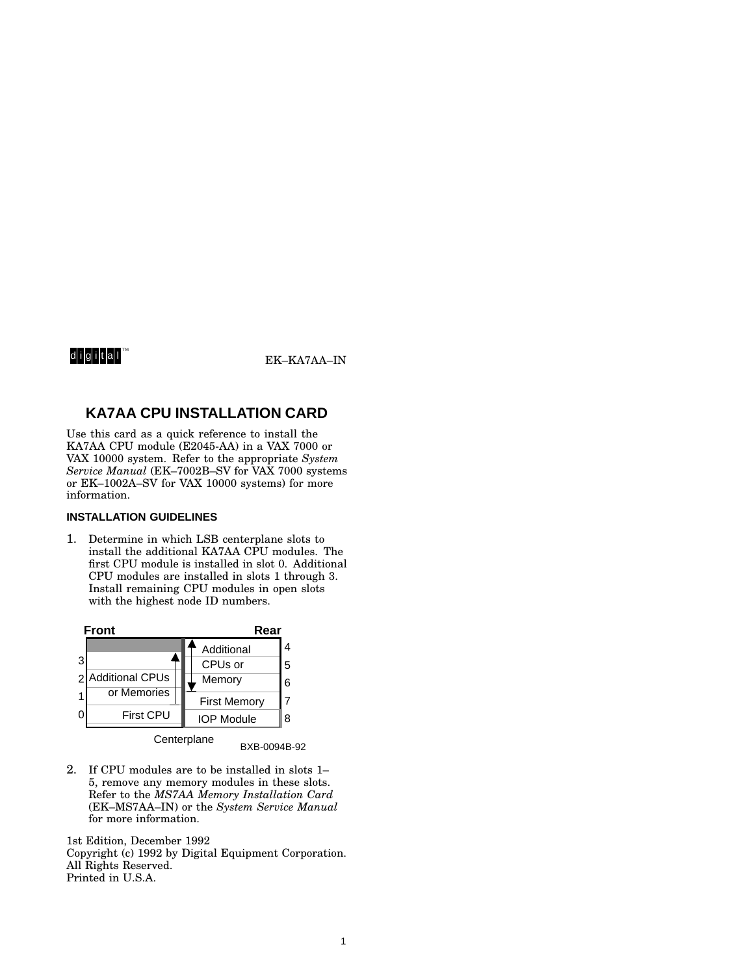# digital<sup>w</sup>

EK-KA7AA-IN

## **KA7AA CPU INSTALLATION CARD**

Use this card as a quick reference to install the KA7AA CPU module (E2045-AA) in a VAX 7000 or VAX 10000 system. Refer to the appropriate *System Service Manual* (EK–7002B–SV for VAX 7000 systems or EK–1002A–SV for VAX 10000 systems) for more information.

## **INSTALLATION GUIDELINES**

1. Determine in which LSB centerplane slots to install the additional KA7AA CPU modules. The first CPU module is installed in slot 0. Additional CPU modules are installed in slots 1 through 3. Install remaining CPU modules in open slots with the highest node ID numbers.



BXB-0094B-92

2. If CPU modules are to be installed in slots 1– 5, remove any memory modules in these slots. Refer to the *MS7AA Memory Installation Card* (EK–MS7AA–IN) or the *System Service Manual* for more information.

1st Edition, December 1992 Copyright (c) 1992 by Digital Equipment Corporation. All Rights Reserved. Printed in U.S.A.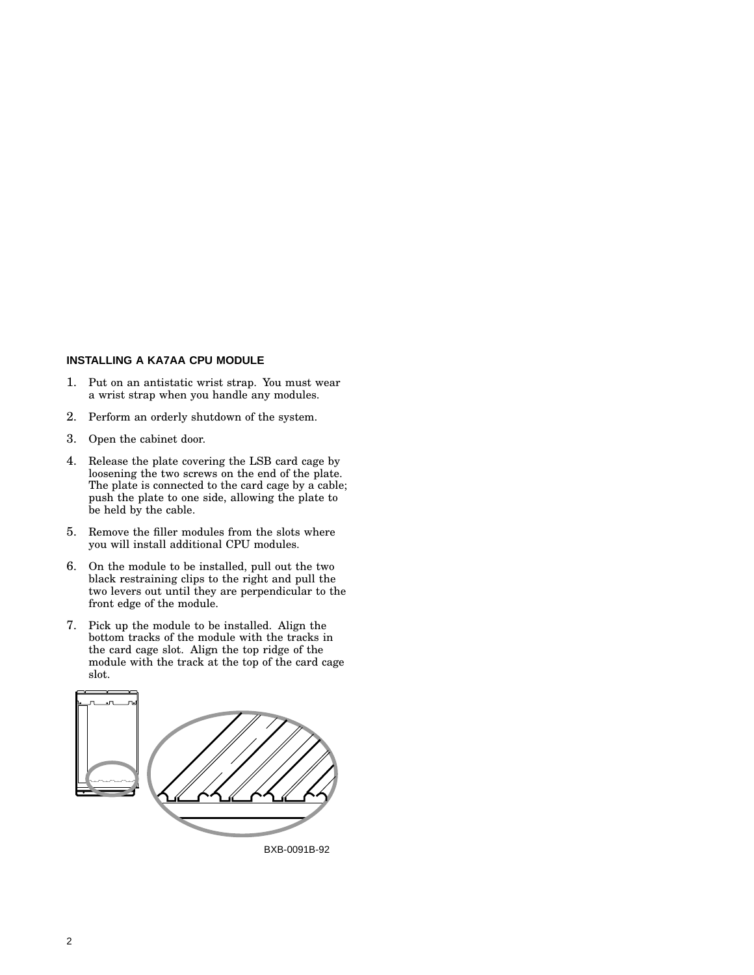## **INSTALLING A KA7AA CPU MODULE**

- 1. Put on an antistatic wrist strap. You must wear a wrist strap when you handle any modules.
- 2. Perform an orderly shutdown of the system.
- 3. Open the cabinet door.
- 4. Release the plate covering the LSB card cage by loosening the two screws on the end of the plate. The plate is connected to the card cage by a cable; push the plate to one side, allowing the plate to be held by the cable.
- 5. Remove the filler modules from the slots where you will install additional CPU modules.
- 6. On the module to be installed, pull out the two black restraining clips to the right and pull the two levers out until they are perpendicular to the front edge of the module.
- 7. Pick up the module to be installed. Align the bottom tracks of the module with the tracks in the card cage slot. Align the top ridge of the module with the track at the top of the card cage slot.

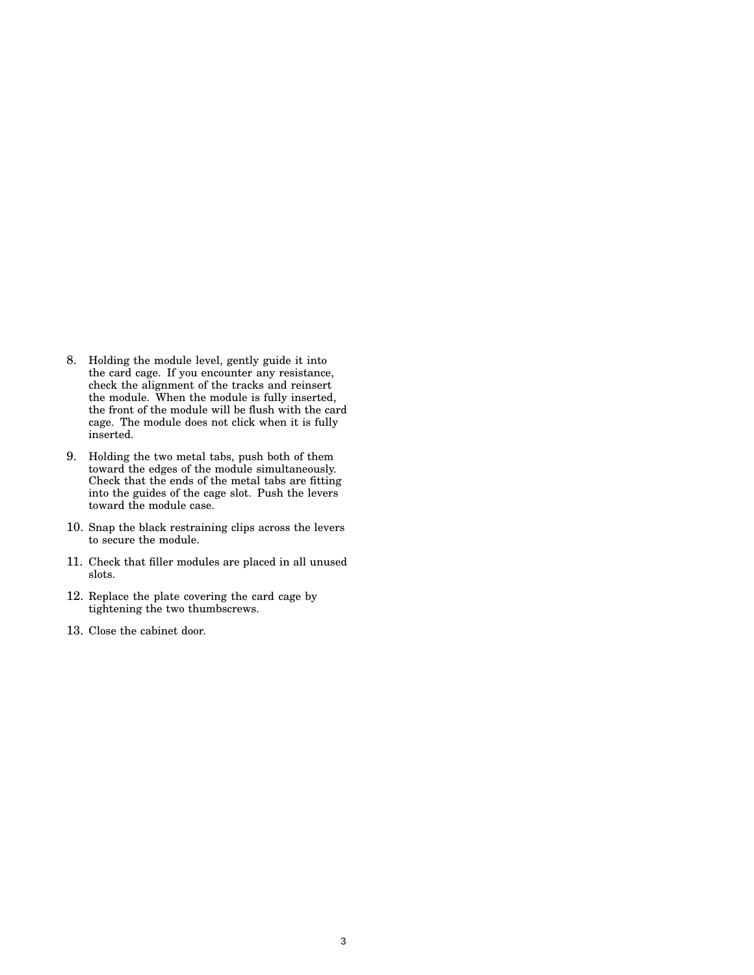- 8. Holding the module level, gently guide it into the card cage. If you encounter any resistance, check the alignment of the tracks and reinsert the module. When the module is fully inserted, the front of the module will be flush with the card cage. The module does not click when it is fully inserted.
- 9. Holding the two metal tabs, push both of them toward the edges of the module simultaneously. Check that the ends of the metal tabs are fitting into the guides of the cage slot. Push the levers toward the module case.
- 10. Snap the black restraining clips across the levers to secure the module.
- 11. Check that filler modules are placed in all unused slots.
- 12. Replace the plate covering the card cage by tightening the two thumbscrews.
- 13. Close the cabinet door.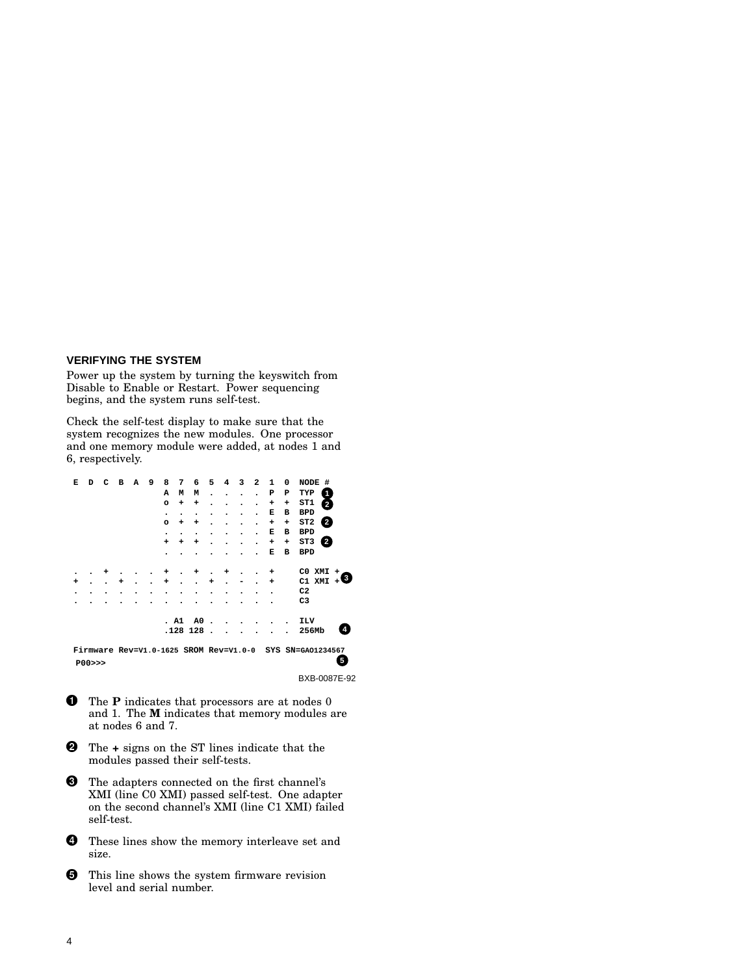#### **VERIFYING THE SYSTEM**

Power up the system by turning the keyswitch from Disable to Enable or Restart. Power sequencing begins, and the system runs self-test.

Check the self-test display to make sure that the system recognizes the new modules. One processor and one memory module were added, at nodes 1 and 6, respectively.

| Е                                                        | D     | с | в | А | 9 | 8         | 7    | 6              | 5         | 4         | 3         | $\overline{a}$ | 1 | 0 | <b>NODE</b><br>#          |
|----------------------------------------------------------|-------|---|---|---|---|-----------|------|----------------|-----------|-----------|-----------|----------------|---|---|---------------------------|
|                                                          |       |   |   |   |   | A         | м    | М              | $\bullet$ | $\bullet$ | $\bullet$ |                | P | P | TYP<br>1                  |
|                                                          |       |   |   |   |   | $\circ$   | ÷    | ÷              |           |           |           |                | + | + | ST1<br>$\overline{2}$     |
|                                                          |       |   |   |   |   | $\bullet$ | ٠    | ٠              |           |           |           |                | Е | в | <b>BPD</b>                |
|                                                          |       |   |   |   |   | $\circ$   | ÷    | ÷              |           |           |           |                | + | + | $\overline{2}$<br>ST2     |
|                                                          |       |   |   |   |   | ٠         |      | ٠              |           |           |           |                | Е | в | <b>BPD</b>                |
|                                                          |       |   |   |   |   | $\ddot{}$ | ٠    | ٠              |           |           |           |                | ٠ | ÷ | ST3<br>$\left( 2 \right)$ |
|                                                          |       |   |   |   |   |           |      |                |           |           |           |                | Е | в | <b>BPD</b>                |
|                                                          |       |   |   |   |   |           |      |                |           |           |           |                |   |   |                           |
|                                                          |       |   |   |   |   |           |      |                |           |           |           |                |   |   | CO XMI<br>$\div$<br>3     |
| ÷                                                        |       |   |   |   |   | +         |      |                |           |           |           |                | ٠ |   | C1 XMI                    |
| ٠                                                        |       |   |   |   |   |           |      |                |           |           |           |                |   |   | C <sub>2</sub>            |
|                                                          |       |   |   |   |   |           |      |                |           |           |           |                |   |   | C <sub>3</sub>            |
|                                                          |       |   |   |   |   |           |      |                |           |           |           |                |   |   |                           |
|                                                          |       |   |   |   |   |           | . A1 | A <sub>0</sub> |           |           |           |                |   |   | ILV                       |
|                                                          |       |   |   |   |   |           |      | .128 128       |           |           |           |                |   |   | 4<br>256Mb                |
|                                                          |       |   |   |   |   |           |      |                |           |           |           |                |   |   |                           |
| Firmware Rev=V1.0-1625 SROM Rev=V1.0-0 SYS SN=GA01234567 |       |   |   |   |   |           |      |                |           |           |           |                |   |   |                           |
|                                                          | P00>> |   |   |   |   |           |      |                |           |           |           |                |   |   | 5                         |

BXB-0087E-92

- **O** The **P** indicates that processors are at nodes 0 and 1. The **M** indicates that memory modules are at nodes 6 and 7.
- The **+** signs on the ST lines indicate that the modules passed their self-tests.
- $\boldsymbol{\Theta}$  The adapters connected on the first channel's XMI (line C0 XMI) passed self-test. One adapter on the second channel's XMI (line C1 XMI) failed self-test.
- **O** These lines show the memory interleave set and size.
- $\Theta$  This line shows the system firmware revision level and serial number.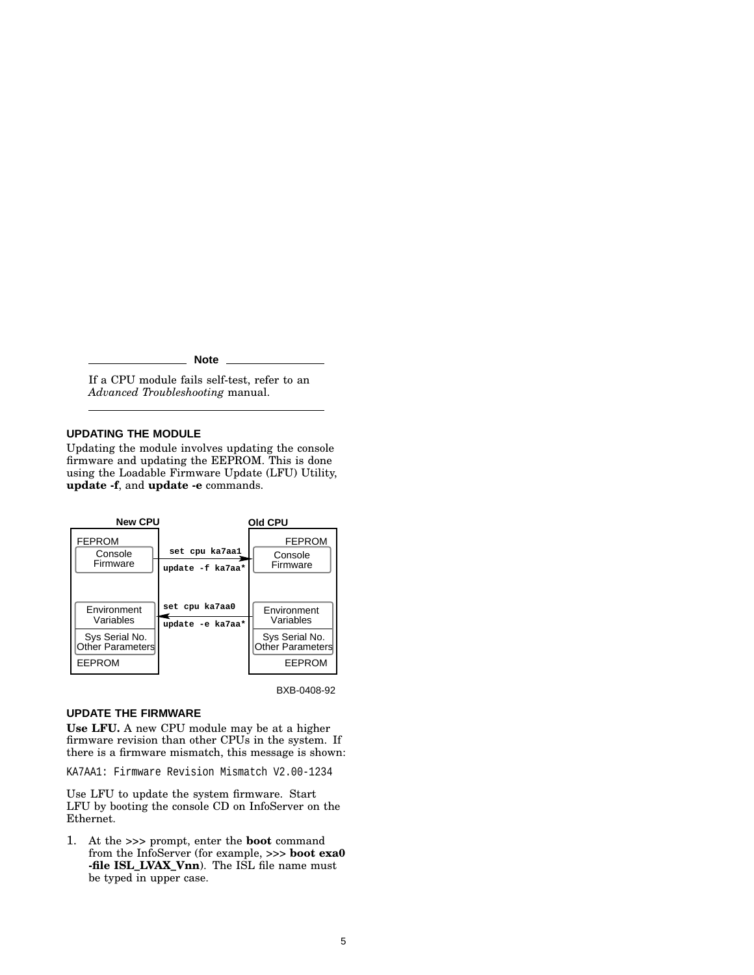#### **Note**

If a CPU module fails self-test, refer to an *Advanced Troubleshooting* manual.

## **UPDATING THE MODULE**

Updating the module involves updating the console firmware and updating the EEPROM. This is done using the Loadable Firmware Update (LFU) Utility, **update -f**, and **update -e** commands.



BXB-0408-92

## **UPDATE THE FIRMWARE**

**Use LFU.** A new CPU module may be at a higher firmware revision than other CPUs in the system. If there is a firmware mismatch, this message is shown:

KA7AA1: Firmware Revision Mismatch V2.00-1234

Use LFU to update the system firmware. Start LFU by booting the console CD on InfoServer on the Ethernet.

1. At the >>> prompt, enter the **boot** command from the InfoServer (for example, >>> **boot exa0 -file ISL\_LVAX\_Vnn**). The ISL file name must be typed in upper case.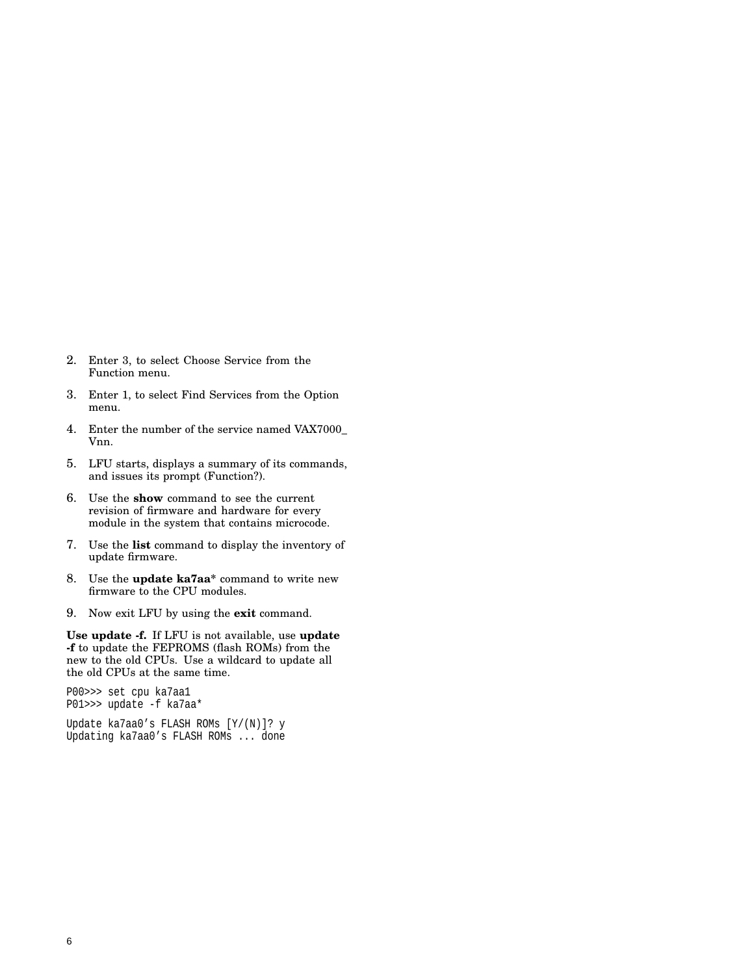- 2. Enter 3, to select Choose Service from the Function menu.
- 3. Enter 1, to select Find Services from the Option menu.
- 4. Enter the number of the service named VAX7000\_ Vnn.
- 5. LFU starts, displays a summary of its commands, and issues its prompt (Function?).
- 6. Use the **show** command to see the current revision of firmware and hardware for every module in the system that contains microcode.
- 7. Use the **list** command to display the inventory of update firmware.
- 8. Use the **update ka7aa\*** command to write new firmware to the CPU modules.
- 9. Now exit LFU by using the **exit** command.

**Use update -f.** If LFU is not available, use **update -f** to update the FEPROMS (flash ROMs) from the new to the old CPUs. Use a wildcard to update all the old CPUs at the same time.

P00>>> set cpu ka7aa1 P01>>> update -f ka7aa\* Update ka7aa0's FLASH ROMs [Y/(N)]? y Updating ka7aa0's FLASH ROMs ... done